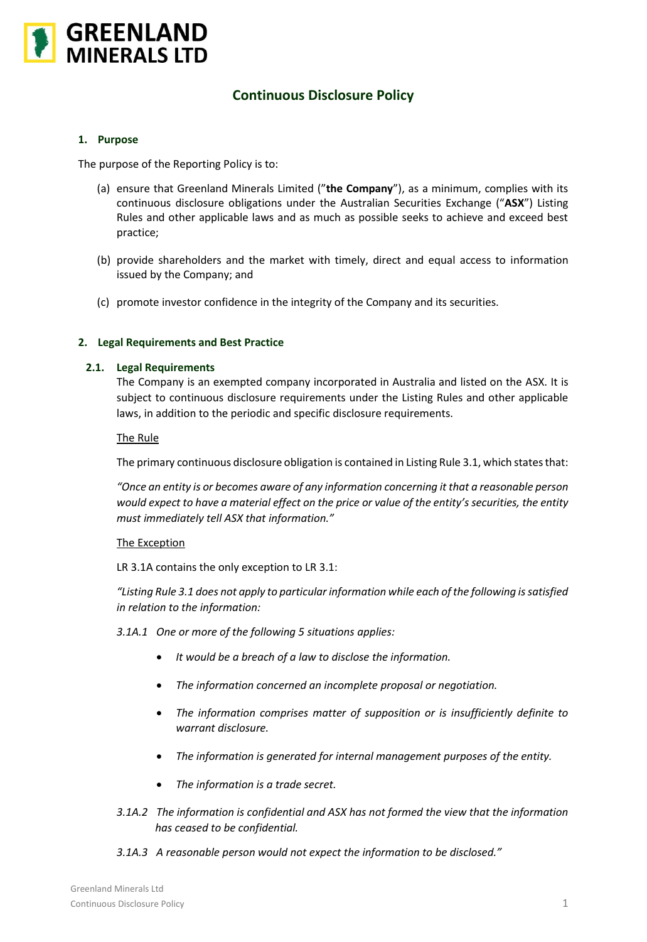

# **Continuous Disclosure Policy**

## **1. Purpose**

The purpose of the Reporting Policy is to:

- (a) ensure that Greenland Minerals Limited ("**the Company**"), as a minimum, complies with its continuous disclosure obligations under the Australian Securities Exchange ("**ASX**") Listing Rules and other applicable laws and as much as possible seeks to achieve and exceed best practice;
- (b) provide shareholders and the market with timely, direct and equal access to information issued by the Company; and
- (c) promote investor confidence in the integrity of the Company and its securities.

## **2. Legal Requirements and Best Practice**

## **2.1. Legal Requirements**

The Company is an exempted company incorporated in Australia and listed on the ASX. It is subject to continuous disclosure requirements under the Listing Rules and other applicable laws, in addition to the periodic and specific disclosure requirements.

## The Rule

The primary continuous disclosure obligation is contained in Listing Rule 3.1, which states that:

*"Once an entity is or becomes aware of any information concerning it that a reasonable person would expect to have a material effect on the price or value of the entity's securities, the entity must immediately tell ASX that information."*

#### The Exception

LR 3.1A contains the only exception to LR 3.1:

*"Listing Rule 3.1 does not apply to particular information while each of the following is satisfied in relation to the information:*

- *3.1A.1 One or more of the following 5 situations applies:*
	- *It would be a breach of a law to disclose the information.*
	- *The information concerned an incomplete proposal or negotiation.*
	- *The information comprises matter of supposition or is insufficiently definite to warrant disclosure.*
	- *The information is generated for internal management purposes of the entity.*
	- *The information is a trade secret.*
- *3.1A.2 The information is confidential and ASX has not formed the view that the information has ceased to be confidential.*
- *3.1A.3 A reasonable person would not expect the information to be disclosed."*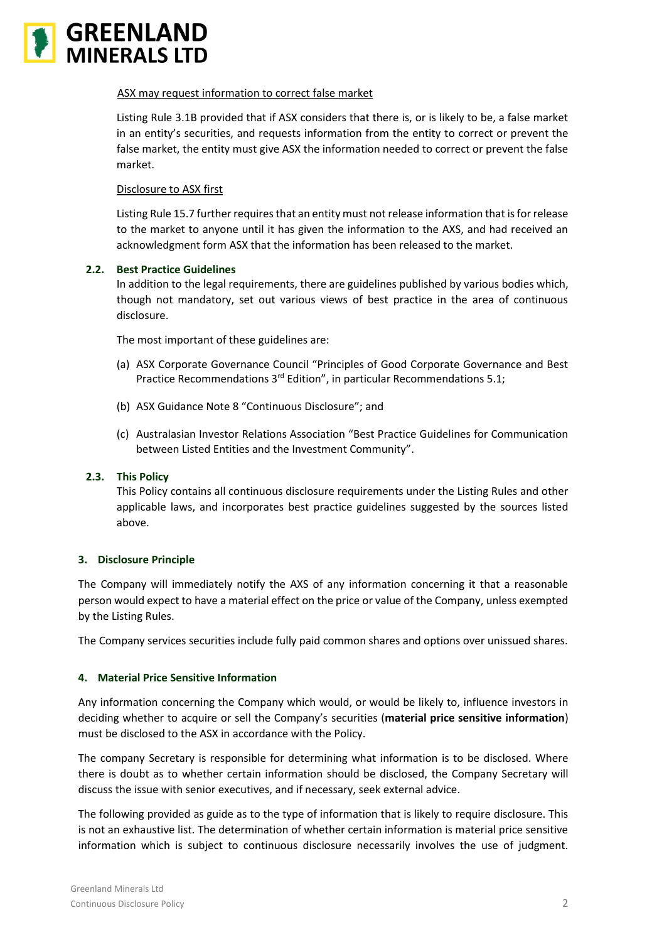

## ASX may request information to correct false market

Listing Rule 3.1B provided that if ASX considers that there is, or is likely to be, a false market in an entity's securities, and requests information from the entity to correct or prevent the false market, the entity must give ASX the information needed to correct or prevent the false market.

## Disclosure to ASX first

Listing Rule 15.7 further requires that an entity must not release information that is for release to the market to anyone until it has given the information to the AXS, and had received an acknowledgment form ASX that the information has been released to the market.

## **2.2. Best Practice Guidelines**

In addition to the legal requirements, there are guidelines published by various bodies which, though not mandatory, set out various views of best practice in the area of continuous disclosure.

The most important of these guidelines are:

- (a) ASX Corporate Governance Council "Principles of Good Corporate Governance and Best Practice Recommendations 3<sup>rd</sup> Edition", in particular Recommendations 5.1;
- (b) ASX Guidance Note 8 "Continuous Disclosure"; and
- (c) Australasian Investor Relations Association "Best Practice Guidelines for Communication between Listed Entities and the Investment Community".

## **2.3. This Policy**

This Policy contains all continuous disclosure requirements under the Listing Rules and other applicable laws, and incorporates best practice guidelines suggested by the sources listed above.

# **3. Disclosure Principle**

The Company will immediately notify the AXS of any information concerning it that a reasonable person would expect to have a material effect on the price or value of the Company, unless exempted by the Listing Rules.

The Company services securities include fully paid common shares and options over unissued shares.

#### **4. Material Price Sensitive Information**

Any information concerning the Company which would, or would be likely to, influence investors in deciding whether to acquire or sell the Company's securities (**material price sensitive information**) must be disclosed to the ASX in accordance with the Policy.

The company Secretary is responsible for determining what information is to be disclosed. Where there is doubt as to whether certain information should be disclosed, the Company Secretary will discuss the issue with senior executives, and if necessary, seek external advice.

The following provided as guide as to the type of information that is likely to require disclosure. This is not an exhaustive list. The determination of whether certain information is material price sensitive information which is subject to continuous disclosure necessarily involves the use of judgment.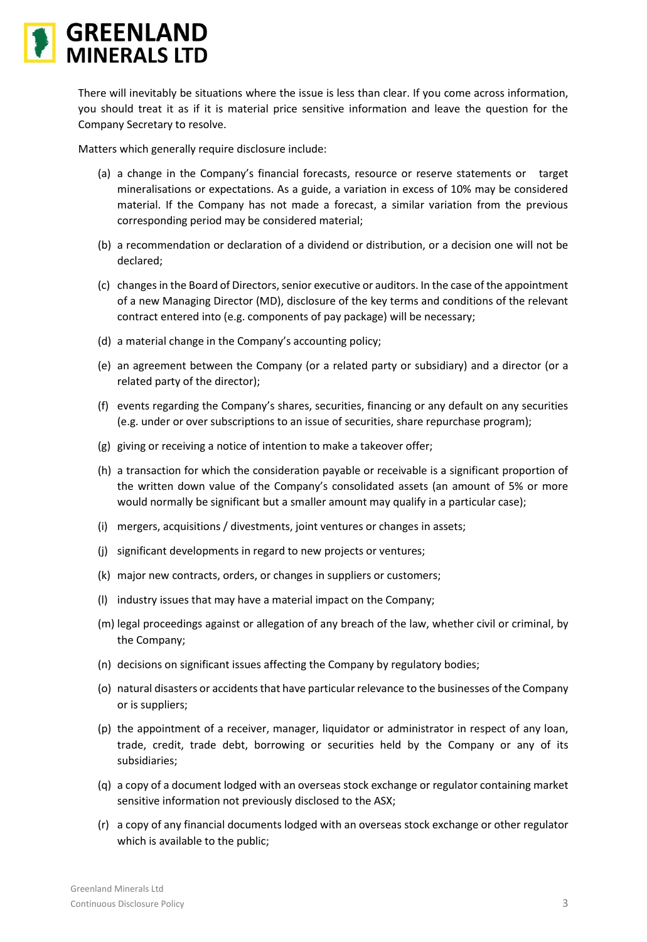

There will inevitably be situations where the issue is less than clear. If you come across information, you should treat it as if it is material price sensitive information and leave the question for the Company Secretary to resolve.

Matters which generally require disclosure include:

- (a) a change in the Company's financial forecasts, resource or reserve statements or target mineralisations or expectations. As a guide, a variation in excess of 10% may be considered material. If the Company has not made a forecast, a similar variation from the previous corresponding period may be considered material;
- (b) a recommendation or declaration of a dividend or distribution, or a decision one will not be declared;
- (c) changes in the Board of Directors, senior executive or auditors. In the case of the appointment of a new Managing Director (MD), disclosure of the key terms and conditions of the relevant contract entered into (e.g. components of pay package) will be necessary;
- (d) a material change in the Company's accounting policy;
- (e) an agreement between the Company (or a related party or subsidiary) and a director (or a related party of the director);
- (f) events regarding the Company's shares, securities, financing or any default on any securities (e.g. under or over subscriptions to an issue of securities, share repurchase program);
- (g) giving or receiving a notice of intention to make a takeover offer;
- (h) a transaction for which the consideration payable or receivable is a significant proportion of the written down value of the Company's consolidated assets (an amount of 5% or more would normally be significant but a smaller amount may qualify in a particular case);
- (i) mergers, acquisitions / divestments, joint ventures or changes in assets;
- (j) significant developments in regard to new projects or ventures;
- (k) major new contracts, orders, or changes in suppliers or customers;
- (l) industry issues that may have a material impact on the Company;
- (m) legal proceedings against or allegation of any breach of the law, whether civil or criminal, by the Company;
- (n) decisions on significant issues affecting the Company by regulatory bodies;
- (o) natural disasters or accidents that have particular relevance to the businesses of the Company or is suppliers;
- (p) the appointment of a receiver, manager, liquidator or administrator in respect of any loan, trade, credit, trade debt, borrowing or securities held by the Company or any of its subsidiaries;
- (q) a copy of a document lodged with an overseas stock exchange or regulator containing market sensitive information not previously disclosed to the ASX;
- (r) a copy of any financial documents lodged with an overseas stock exchange or other regulator which is available to the public;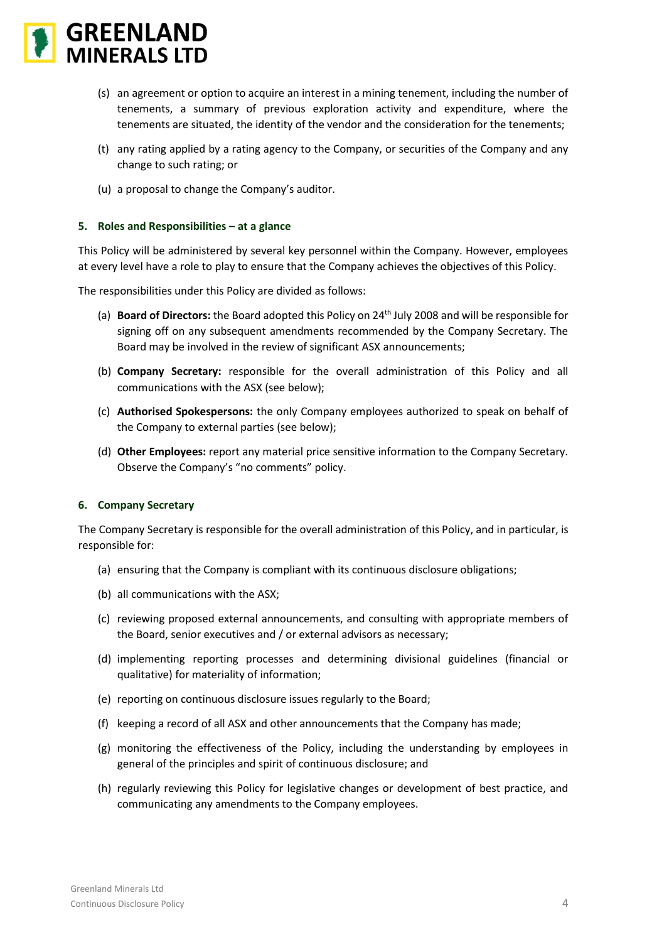

- (s) an agreement or option to acquire an interest in a mining tenement, including the number of tenements, a summary of previous exploration activity and expenditure, where the tenements are situated, the identity of the vendor and the consideration for the tenements;
- (t) any rating applied by a rating agency to the Company, or securities of the Company and any change to such rating; or
- (u) a proposal to change the Company's auditor.

## **5. Roles and Responsibilities – at a glance**

This Policy will be administered by several key personnel within the Company. However, employees at every level have a role to play to ensure that the Company achieves the objectives of this Policy.

The responsibilities under this Policy are divided as follows:

- (a) **Board of Directors:** the Board adopted this Policy on 24th July 2008 and will be responsible for signing off on any subsequent amendments recommended by the Company Secretary. The Board may be involved in the review of significant ASX announcements;
- (b) **Company Secretary:** responsible for the overall administration of this Policy and all communications with the ASX (see below);
- (c) **Authorised Spokespersons:** the only Company employees authorized to speak on behalf of the Company to external parties (see below);
- (d) **Other Employees:** report any material price sensitive information to the Company Secretary. Observe the Company's "no comments" policy.

#### **6. Company Secretary**

The Company Secretary is responsible for the overall administration of this Policy, and in particular, is responsible for:

- (a) ensuring that the Company is compliant with its continuous disclosure obligations;
- (b) all communications with the ASX;
- (c) reviewing proposed external announcements, and consulting with appropriate members of the Board, senior executives and / or external advisors as necessary;
- (d) implementing reporting processes and determining divisional guidelines (financial or qualitative) for materiality of information;
- (e) reporting on continuous disclosure issues regularly to the Board;
- (f) keeping a record of all ASX and other announcements that the Company has made;
- (g) monitoring the effectiveness of the Policy, including the understanding by employees in general of the principles and spirit of continuous disclosure; and
- (h) regularly reviewing this Policy for legislative changes or development of best practice, and communicating any amendments to the Company employees.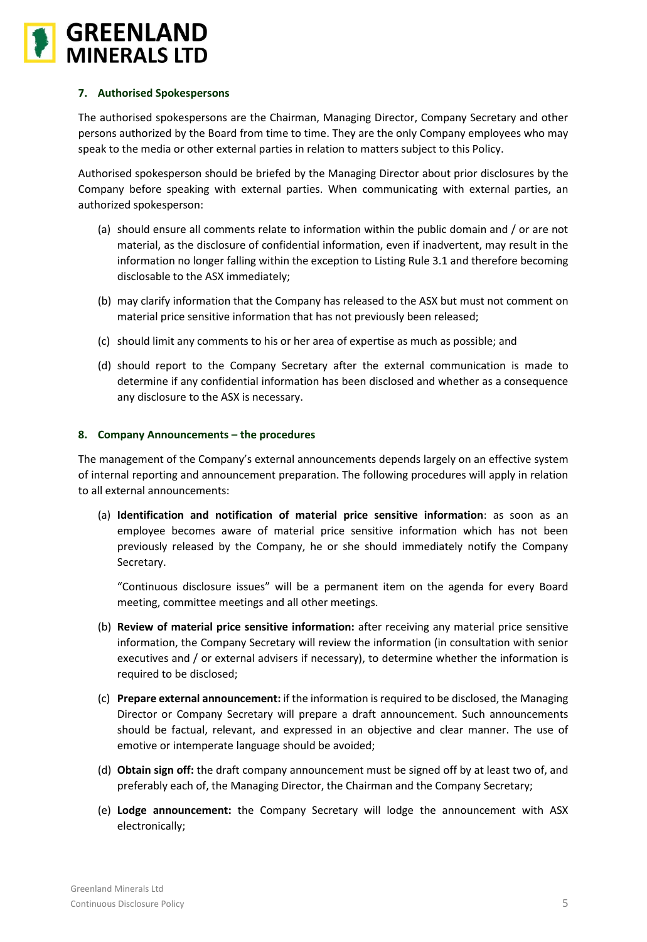

# **7. Authorised Spokespersons**

The authorised spokespersons are the Chairman, Managing Director, Company Secretary and other persons authorized by the Board from time to time. They are the only Company employees who may speak to the media or other external parties in relation to matters subject to this Policy.

Authorised spokesperson should be briefed by the Managing Director about prior disclosures by the Company before speaking with external parties. When communicating with external parties, an authorized spokesperson:

- (a) should ensure all comments relate to information within the public domain and / or are not material, as the disclosure of confidential information, even if inadvertent, may result in the information no longer falling within the exception to Listing Rule 3.1 and therefore becoming disclosable to the ASX immediately;
- (b) may clarify information that the Company has released to the ASX but must not comment on material price sensitive information that has not previously been released;
- (c) should limit any comments to his or her area of expertise as much as possible; and
- (d) should report to the Company Secretary after the external communication is made to determine if any confidential information has been disclosed and whether as a consequence any disclosure to the ASX is necessary.

## **8. Company Announcements – the procedures**

The management of the Company's external announcements depends largely on an effective system of internal reporting and announcement preparation. The following procedures will apply in relation to all external announcements:

(a) **Identification and notification of material price sensitive information**: as soon as an employee becomes aware of material price sensitive information which has not been previously released by the Company, he or she should immediately notify the Company Secretary.

"Continuous disclosure issues" will be a permanent item on the agenda for every Board meeting, committee meetings and all other meetings.

- (b) **Review of material price sensitive information:** after receiving any material price sensitive information, the Company Secretary will review the information (in consultation with senior executives and / or external advisers if necessary), to determine whether the information is required to be disclosed;
- (c) **Prepare external announcement:** if the information is required to be disclosed, the Managing Director or Company Secretary will prepare a draft announcement. Such announcements should be factual, relevant, and expressed in an objective and clear manner. The use of emotive or intemperate language should be avoided;
- (d) **Obtain sign off:** the draft company announcement must be signed off by at least two of, and preferably each of, the Managing Director, the Chairman and the Company Secretary;
- (e) **Lodge announcement:** the Company Secretary will lodge the announcement with ASX electronically;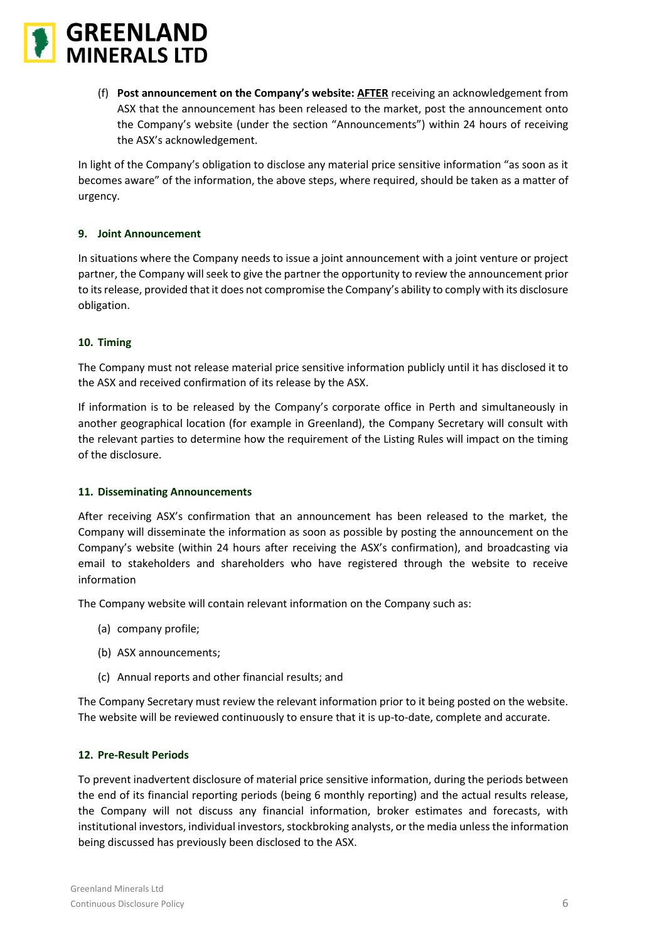

(f) **Post announcement on the Company's website: AFTER** receiving an acknowledgement from ASX that the announcement has been released to the market, post the announcement onto the Company's website (under the section "Announcements") within 24 hours of receiving the ASX's acknowledgement.

In light of the Company's obligation to disclose any material price sensitive information "as soon as it becomes aware" of the information, the above steps, where required, should be taken as a matter of urgency.

# **9. Joint Announcement**

In situations where the Company needs to issue a joint announcement with a joint venture or project partner, the Company will seek to give the partner the opportunity to review the announcement prior to its release, provided that it does not compromise the Company's ability to comply with its disclosure obligation.

## **10. Timing**

The Company must not release material price sensitive information publicly until it has disclosed it to the ASX and received confirmation of its release by the ASX.

If information is to be released by the Company's corporate office in Perth and simultaneously in another geographical location (for example in Greenland), the Company Secretary will consult with the relevant parties to determine how the requirement of the Listing Rules will impact on the timing of the disclosure.

# **11. Disseminating Announcements**

After receiving ASX's confirmation that an announcement has been released to the market, the Company will disseminate the information as soon as possible by posting the announcement on the Company's website (within 24 hours after receiving the ASX's confirmation), and broadcasting via email to stakeholders and shareholders who have registered through the website to receive information

The Company website will contain relevant information on the Company such as:

- (a) company profile;
- (b) ASX announcements;
- (c) Annual reports and other financial results; and

The Company Secretary must review the relevant information prior to it being posted on the website. The website will be reviewed continuously to ensure that it is up-to-date, complete and accurate.

## **12. Pre-Result Periods**

To prevent inadvertent disclosure of material price sensitive information, during the periods between the end of its financial reporting periods (being 6 monthly reporting) and the actual results release, the Company will not discuss any financial information, broker estimates and forecasts, with institutional investors, individual investors, stockbroking analysts, or the media unless the information being discussed has previously been disclosed to the ASX.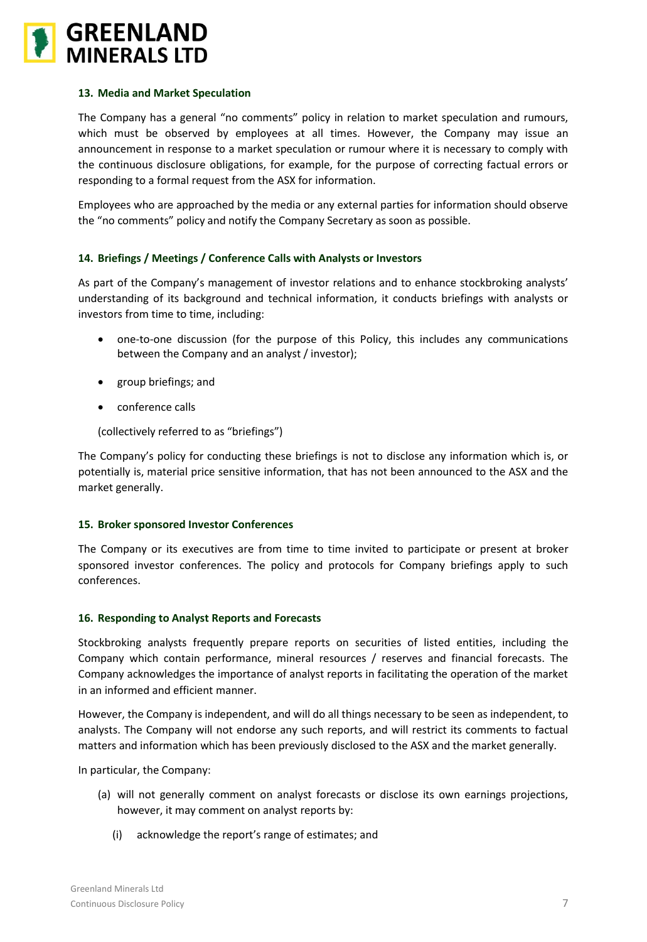

## **13. Media and Market Speculation**

The Company has a general "no comments" policy in relation to market speculation and rumours, which must be observed by employees at all times. However, the Company may issue an announcement in response to a market speculation or rumour where it is necessary to comply with the continuous disclosure obligations, for example, for the purpose of correcting factual errors or responding to a formal request from the ASX for information.

Employees who are approached by the media or any external parties for information should observe the "no comments" policy and notify the Company Secretary as soon as possible.

# **14. Briefings / Meetings / Conference Calls with Analysts or Investors**

As part of the Company's management of investor relations and to enhance stockbroking analysts' understanding of its background and technical information, it conducts briefings with analysts or investors from time to time, including:

- one-to-one discussion (for the purpose of this Policy, this includes any communications between the Company and an analyst / investor);
- group briefings; and
- conference calls

(collectively referred to as "briefings")

The Company's policy for conducting these briefings is not to disclose any information which is, or potentially is, material price sensitive information, that has not been announced to the ASX and the market generally.

# **15. Broker sponsored Investor Conferences**

The Company or its executives are from time to time invited to participate or present at broker sponsored investor conferences. The policy and protocols for Company briefings apply to such conferences.

# **16. Responding to Analyst Reports and Forecasts**

Stockbroking analysts frequently prepare reports on securities of listed entities, including the Company which contain performance, mineral resources / reserves and financial forecasts. The Company acknowledges the importance of analyst reports in facilitating the operation of the market in an informed and efficient manner.

However, the Company is independent, and will do all things necessary to be seen as independent, to analysts. The Company will not endorse any such reports, and will restrict its comments to factual matters and information which has been previously disclosed to the ASX and the market generally.

In particular, the Company:

- (a) will not generally comment on analyst forecasts or disclose its own earnings projections, however, it may comment on analyst reports by:
	- (i) acknowledge the report's range of estimates; and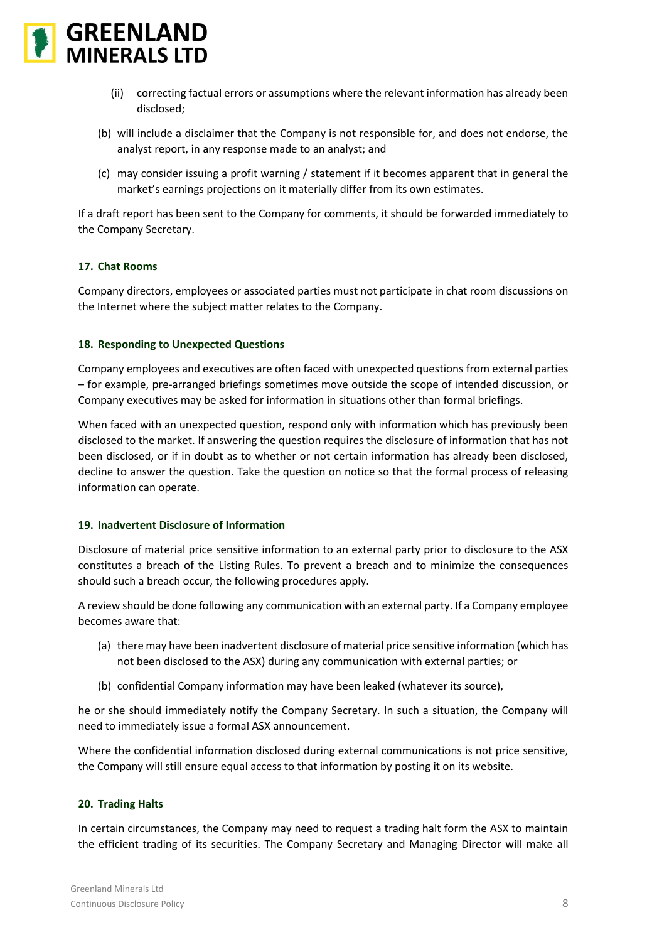

- (ii) correcting factual errors or assumptions where the relevant information has already been disclosed;
- (b) will include a disclaimer that the Company is not responsible for, and does not endorse, the analyst report, in any response made to an analyst; and
- (c) may consider issuing a profit warning / statement if it becomes apparent that in general the market's earnings projections on it materially differ from its own estimates.

If a draft report has been sent to the Company for comments, it should be forwarded immediately to the Company Secretary.

## **17. Chat Rooms**

Company directors, employees or associated parties must not participate in chat room discussions on the Internet where the subject matter relates to the Company.

#### **18. Responding to Unexpected Questions**

Company employees and executives are often faced with unexpected questions from external parties – for example, pre-arranged briefings sometimes move outside the scope of intended discussion, or Company executives may be asked for information in situations other than formal briefings.

When faced with an unexpected question, respond only with information which has previously been disclosed to the market. If answering the question requires the disclosure of information that has not been disclosed, or if in doubt as to whether or not certain information has already been disclosed, decline to answer the question. Take the question on notice so that the formal process of releasing information can operate.

#### **19. Inadvertent Disclosure of Information**

Disclosure of material price sensitive information to an external party prior to disclosure to the ASX constitutes a breach of the Listing Rules. To prevent a breach and to minimize the consequences should such a breach occur, the following procedures apply.

A review should be done following any communication with an external party. If a Company employee becomes aware that:

- (a) there may have been inadvertent disclosure of material price sensitive information (which has not been disclosed to the ASX) during any communication with external parties; or
- (b) confidential Company information may have been leaked (whatever its source),

he or she should immediately notify the Company Secretary. In such a situation, the Company will need to immediately issue a formal ASX announcement.

Where the confidential information disclosed during external communications is not price sensitive, the Company will still ensure equal access to that information by posting it on its website.

#### **20. Trading Halts**

In certain circumstances, the Company may need to request a trading halt form the ASX to maintain the efficient trading of its securities. The Company Secretary and Managing Director will make all